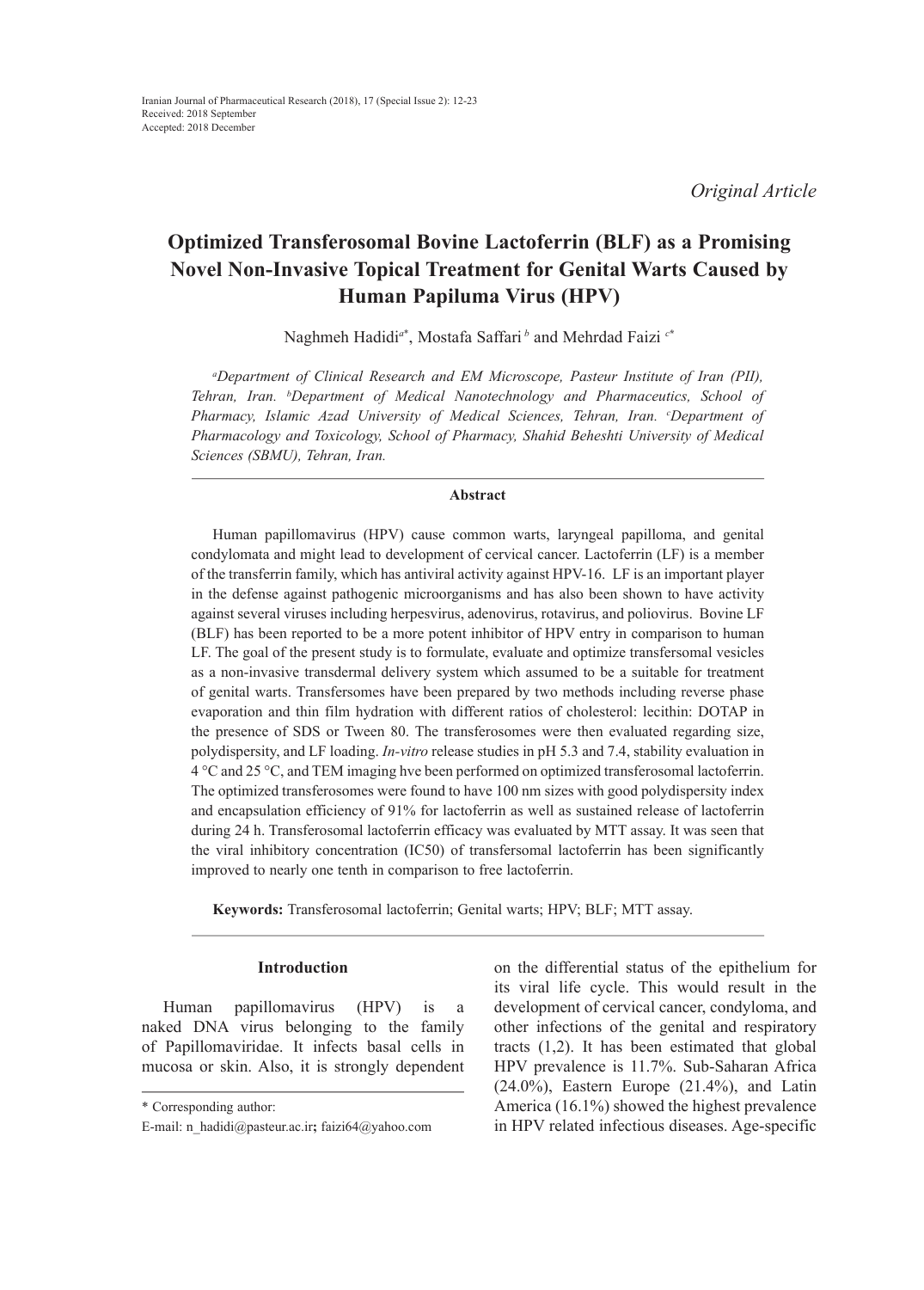# **Optimized Transferosomal Bovine Lactoferrin (BLF) as a Promising Novel Non-Invasive Topical Treatment for Genital Warts Caused by Human Papiluma Virus (HPV)**

Naghmeh Hadidi*<sup>a</sup>*\* , Mostafa Saffari*<sup>b</sup>* and Mehrdad Faizi *<sup>c</sup>***\***

*a Department of Clinical Research and EM Microscope, Pasteur Institute of Iran (PII), Tehran, Iran. b Department of Medical Nanotechnology and Pharmaceutics, School of Pharmacy, Islamic Azad University of Medical Sciences, Tehran, Iran. c Department of Pharmacology and Toxicology, School of Pharmacy, Shahid Beheshti University of Medical Sciences (SBMU), Tehran, Iran.*

# **Abstract**

Human papillomavirus (HPV) cause common warts, laryngeal papilloma, and genital condylomata and might lead to development of cervical cancer. Lactoferrin (LF) is a member of the transferrin family, which has antiviral activity against HPV-16. LF is an important player in the defense against pathogenic microorganisms and has also been shown to have activity against several viruses including herpesvirus, adenovirus, rotavirus, and poliovirus. Bovine LF (BLF) has been reported to be a more potent inhibitor of HPV entry in comparison to human LF. The goal of the present study is to formulate, evaluate and optimize transfersomal vesicles as a non-invasive transdermal delivery system which assumed to be a suitable for treatment of genital warts. Transfersomes have been prepared by two methods including reverse phase evaporation and thin film hydration with different ratios of cholesterol: lecithin: DOTAP in the presence of SDS or Tween 80. The transferosomes were then evaluated regarding size, polydispersity, and LF loading. *In-vitro* release studies in pH 5.3 and 7.4, stability evaluation in 4 °C and 25 °C, and TEM imaging hve been performed on optimized transferosomal lactoferrin. The optimized transferosomes were found to have 100 nm sizes with good polydispersity index and encapsulation efficiency of 91% for lactoferrin as well as sustained release of lactoferrin during 24 h. Transferosomal lactoferrin efficacy was evaluated by MTT assay. It was seen that the viral inhibitory concentration (IC50) of transfersomal lactoferrin has been significantly improved to nearly one tenth in comparison to free lactoferrin.

**Keywords:** Transferosomal lactoferrin; Genital warts; HPV; BLF; MTT assay.

# **Introduction**

Human papillomavirus (HPV) is a naked DNA virus belonging to the family of Papillomaviridae. It infects basal cells in mucosa or skin. Also, it is strongly dependent

on the differential status of the epithelium for its viral life cycle. This would result in the development of cervical cancer, condyloma, and other infections of the genital and respiratory tracts (1,2). It has been estimated that global HPV prevalence is 11.7%. Sub-Saharan Africa (24.0%), Eastern Europe (21.4%), and Latin America (16.1%) showed the highest prevalence in HPV related infectious diseases. Age-specific

<sup>\*</sup> Corresponding author:

E-mail: n\_hadidi@pasteur.ac.ir**;** faizi64@yahoo.com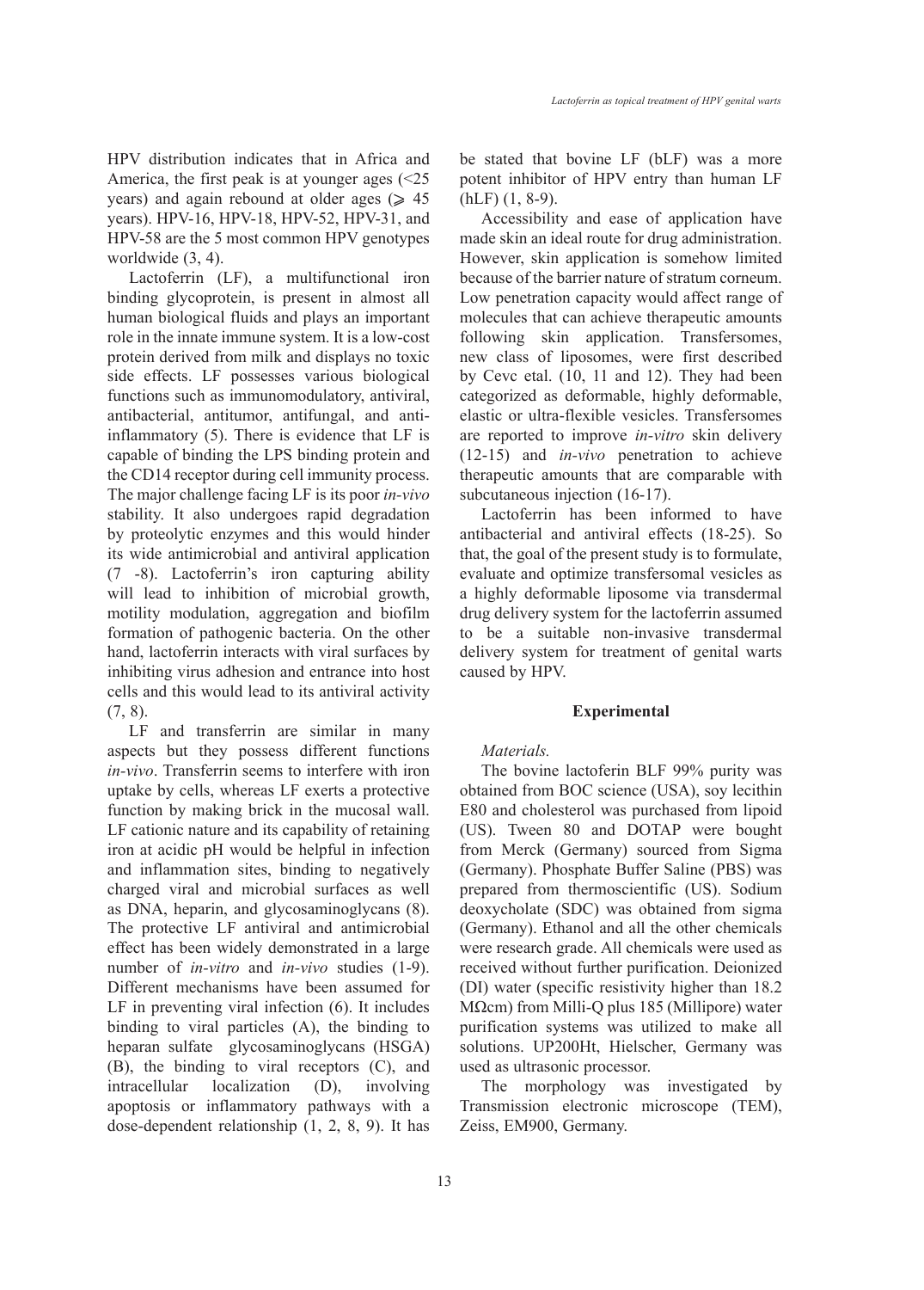HPV distribution indicates that in Africa and America, the first peak is at younger ages (<25 years) and again rebound at older ages ( $\geq 45$ years). HPV-16, HPV-18, HPV-52, HPV-31, and HPV-58 are the 5 most common HPV genotypes worldwide (3, 4).

Lactoferrin (LF), a multifunctional iron binding glycoprotein, is present in almost all human biological fluids and plays an important role in the innate immune system. It is a low-cost protein derived from milk and displays no toxic side effects. LF possesses various biological functions such as immunomodulatory, antiviral, antibacterial, antitumor, antifungal, and antiinflammatory (5). There is evidence that LF is capable of binding the LPS binding protein and the CD14 receptor during cell immunity process. The major challenge facing LF is its poor *in-vivo* stability. It also undergoes rapid degradation by proteolytic enzymes and this would hinder its wide antimicrobial and antiviral application (7 -8). Lactoferrin's iron capturing ability will lead to inhibition of microbial growth, motility modulation, aggregation and biofilm formation of pathogenic bacteria. On the other hand, lactoferrin interacts with viral surfaces by inhibiting virus adhesion and entrance into host cells and this would lead to its antiviral activity (7, 8).

LF and transferrin are similar in many aspects but they possess different functions *in-vivo*. Transferrin seems to interfere with iron uptake by cells, whereas LF exerts a protective function by making brick in the mucosal wall. LF cationic nature and its capability of retaining iron at acidic pH would be helpful in infection and inflammation sites, binding to negatively charged viral and microbial surfaces as well as DNA, heparin, and glycosaminoglycans (8). The protective LF antiviral and antimicrobial effect has been widely demonstrated in a large number of *in-vitro* and *in-vivo* studies (1-9). Different mechanisms have been assumed for LF in preventing viral infection (6). It includes binding to viral particles (A), the binding to heparan sulfate glycosaminoglycans (HSGA) (B), the binding to viral receptors (C), and intracellular localization (D), involving apoptosis or inflammatory pathways with a dose-dependent relationship (1, 2, 8, 9). It has be stated that bovine LF (bLF) was a more potent inhibitor of HPV entry than human LF (hLF) (1, 8-9).

Accessibility and ease of application have made skin an ideal route for drug administration. However, skin application is somehow limited because of the barrier nature of stratum corneum. Low penetration capacity would affect range of molecules that can achieve therapeutic amounts following skin application. Transfersomes, new class of liposomes, were first described by Cevc etal. (10, 11 and 12). They had been categorized as deformable, highly deformable, elastic or ultra-flexible vesicles. Transfersomes are reported to improve *in-vitro* skin delivery (12-15) and *in-vivo* penetration to achieve therapeutic amounts that are comparable with subcutaneous injection (16-17).

Lactoferrin has been informed to have antibacterial and antiviral effects (18-25). So that, the goal of the present study is to formulate, evaluate and optimize transfersomal vesicles as a highly deformable liposome via transdermal drug delivery system for the lactoferrin assumed to be a suitable non-invasive transdermal delivery system for treatment of genital warts caused by HPV.

#### **Experimental**

#### *Materials.*

The bovine lactoferin BLF 99% purity was obtained from BOC science (USA), soy lecithin E80 and cholesterol was purchased from lipoid (US). Tween 80 and DOTAP were bought from Merck (Germany) sourced from Sigma (Germany). Phosphate Buffer Saline (PBS) was prepared from thermoscientific (US). Sodium deoxycholate (SDC) was obtained from sigma (Germany). Ethanol and all the other chemicals were research grade. All chemicals were used as received without further purification. Deionized (DI) water (specific resistivity higher than 18.2 MΩcm) from Milli-Q plus 185 (Millipore) water purification systems was utilized to make all solutions. UP200Ht, Hielscher, Germany was used as ultrasonic processor.

The morphology was investigated by Transmission electronic microscope (TEM), Zeiss, EM900, Germany.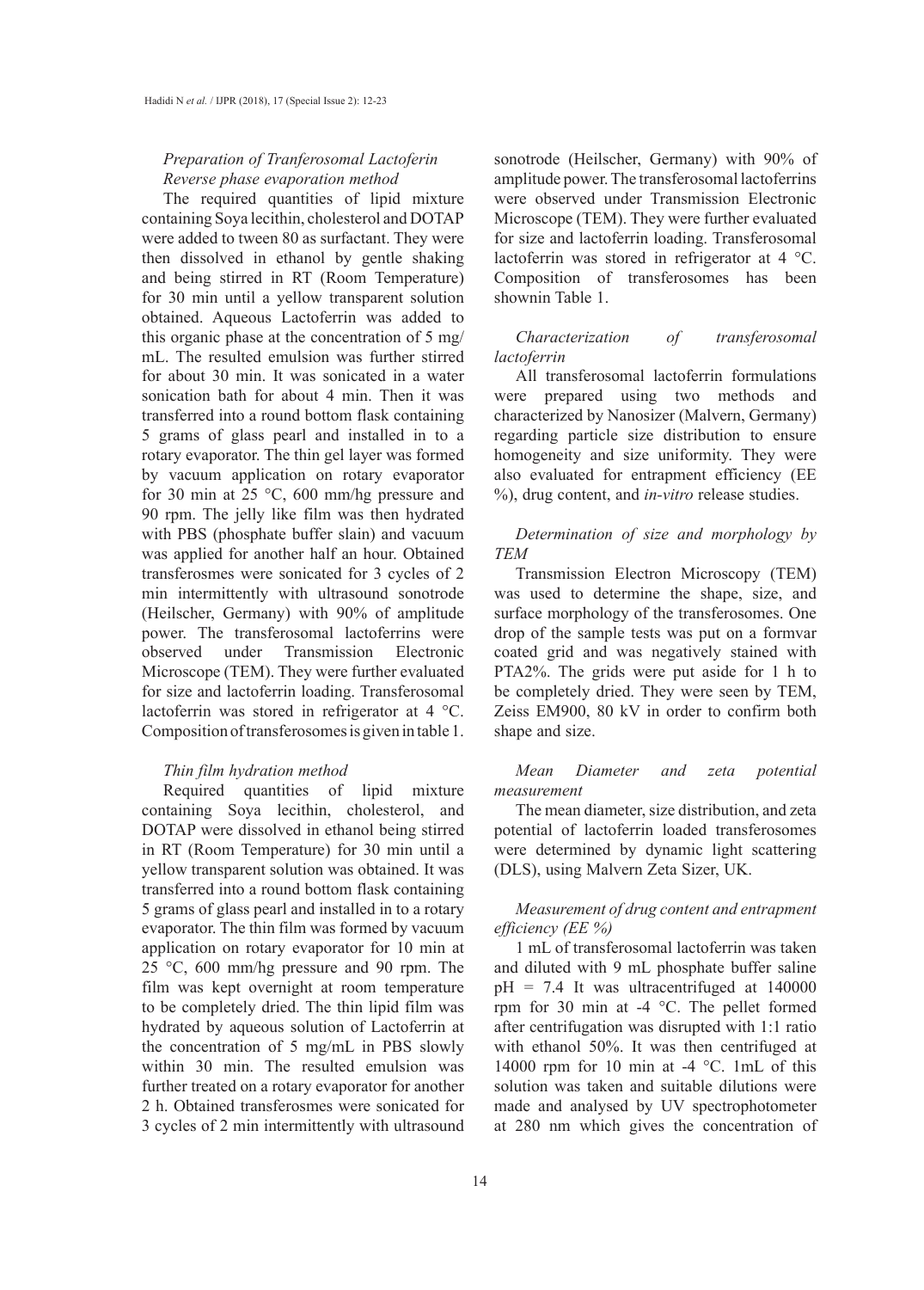# *Preparation of Tranferosomal Lactoferin Reverse phase evaporation method*

The required quantities of lipid mixture containing Soya lecithin, cholesterol and DOTAP were added to tween 80 as surfactant. They were then dissolved in ethanol by gentle shaking and being stirred in RT (Room Temperature) for 30 min until a yellow transparent solution obtained. Aqueous Lactoferrin was added to this organic phase at the concentration of 5 mg/ mL. The resulted emulsion was further stirred for about 30 min. It was sonicated in a water sonication bath for about 4 min. Then it was transferred into a round bottom flask containing 5 grams of glass pearl and installed in to a rotary evaporator. The thin gel layer was formed by vacuum application on rotary evaporator for 30 min at 25 °C, 600 mm/hg pressure and 90 rpm. The jelly like film was then hydrated with PBS (phosphate buffer slain) and vacuum was applied for another half an hour. Obtained transferosmes were sonicated for 3 cycles of 2 min intermittently with ultrasound sonotrode (Heilscher, Germany) with 90% of amplitude power. The transferosomal lactoferrins were observed under Transmission Electronic Microscope (TEM). They were further evaluated for size and lactoferrin loading. Transferosomal lactoferrin was stored in refrigerator at 4 °C. Composition of transferosomes is given in table 1.

## *Thin film hydration method*

Required quantities of lipid mixture containing Soya lecithin, cholesterol, and DOTAP were dissolved in ethanol being stirred in RT (Room Temperature) for 30 min until a yellow transparent solution was obtained. It was transferred into a round bottom flask containing 5 grams of glass pearl and installed in to a rotary evaporator. The thin film was formed by vacuum application on rotary evaporator for 10 min at 25 °C, 600 mm/hg pressure and 90 rpm. The film was kept overnight at room temperature to be completely dried. The thin lipid film was hydrated by aqueous solution of Lactoferrin at the concentration of 5 mg/mL in PBS slowly within 30 min. The resulted emulsion was further treated on a rotary evaporator for another 2 h. Obtained transferosmes were sonicated for 3 cycles of 2 min intermittently with ultrasound sonotrode (Heilscher, Germany) with 90% of amplitude power. The transferosomal lactoferrins were observed under Transmission Electronic Microscope (TEM). They were further evaluated for size and lactoferrin loading. Transferosomal lactoferrin was stored in refrigerator at 4 °C. Composition of transferosomes has been shownin Table 1.

# *Characterization of transferosomal lactoferrin*

All transferosomal lactoferrin formulations were prepared using two methods and characterized by Nanosizer (Malvern, Germany) regarding particle size distribution to ensure homogeneity and size uniformity. They were also evaluated for entrapment efficiency (EE %), drug content, and *in-vitro* release studies.

# *Determination of size and morphology by TEM*

Transmission Electron Microscopy (TEM) was used to determine the shape, size, and surface morphology of the transferosomes. One drop of the sample tests was put on a formvar coated grid and was negatively stained with PTA2%. The grids were put aside for 1 h to be completely dried. They were seen by TEM, Zeiss EM900, 80 kV in order to confirm both shape and size.

# *Mean Diameter and zeta potential measurement*

The mean diameter, size distribution, and zeta potential of lactoferrin loaded transferosomes were determined by dynamic light scattering (DLS), using Malvern Zeta Sizer, UK.

# *Measurement of drug content and entrapment efficiency (EE %)*

1 mL of transferosomal lactoferrin was taken and diluted with 9 mL phosphate buffer saline pH = 7.4 It was ultracentrifuged at 140000 rpm for 30 min at -4 °C. The pellet formed after centrifugation was disrupted with 1:1 ratio with ethanol 50%. It was then centrifuged at 14000 rpm for 10 min at -4 °C. 1mL of this solution was taken and suitable dilutions were made and analysed by UV spectrophotometer at 280 nm which gives the concentration of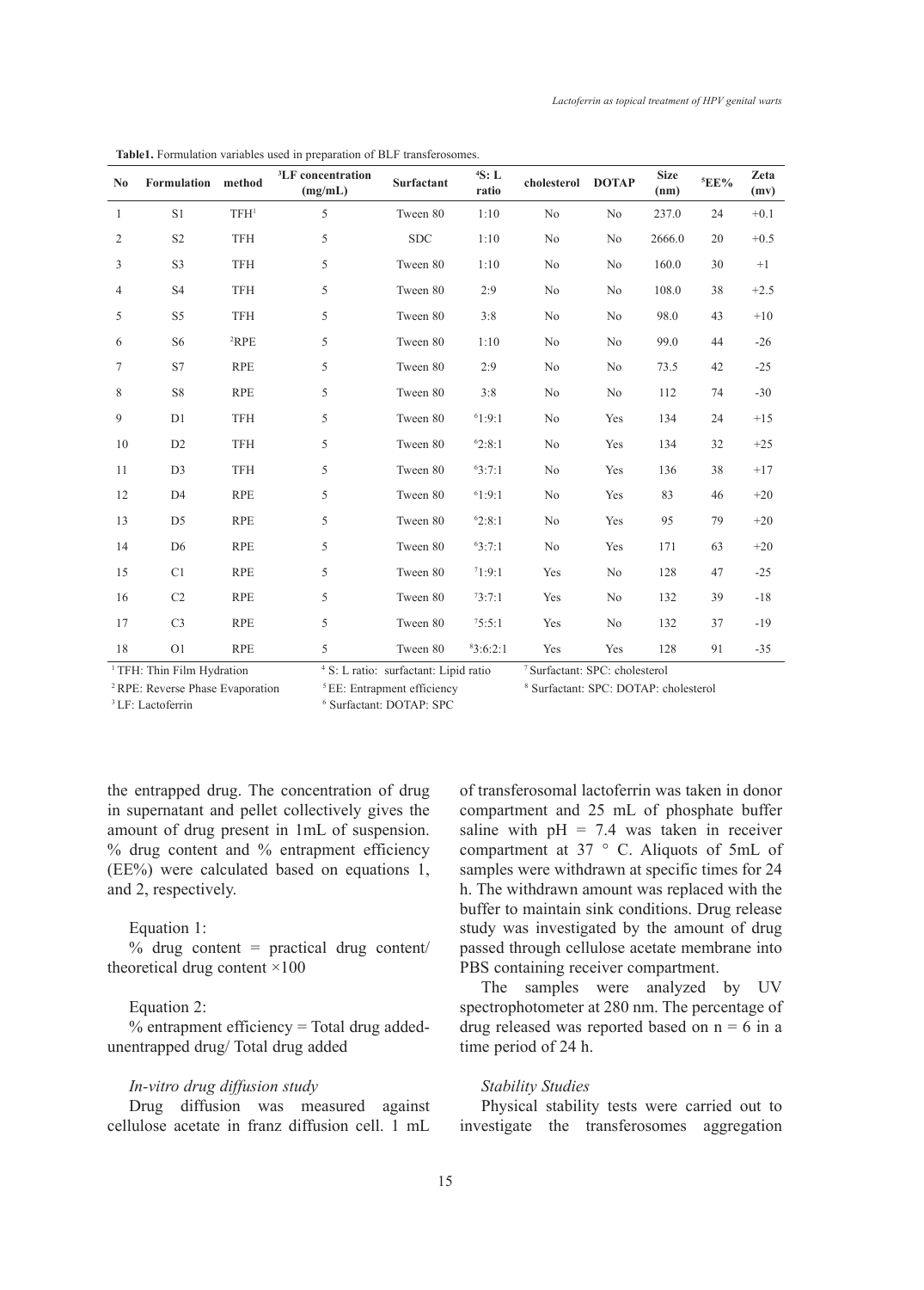| N <sub>0</sub>                        | Formulation    | method           | <sup>3</sup> LF concentration<br>(mg/mL) | Surfactant                                       | 4S: L<br>ratio | cholesterol    | <b>DOTAP</b>                              | <b>Size</b><br>(nm) | <sup>5</sup> EE% | Zeta<br>(mv) |
|---------------------------------------|----------------|------------------|------------------------------------------|--------------------------------------------------|----------------|----------------|-------------------------------------------|---------------------|------------------|--------------|
| 1                                     | S <sub>1</sub> | TFH <sup>1</sup> | 5                                        | Tween 80                                         | 1:10           | N <sub>o</sub> | N <sub>o</sub>                            | 237.0               | 24               | $+0.1$       |
| $\overline{c}$                        | S <sub>2</sub> | <b>TFH</b>       | 5                                        | <b>SDC</b>                                       | 1:10           | No             | N <sub>o</sub>                            | 2666.0              | 20               | $+0.5$       |
| 3                                     | S <sub>3</sub> | <b>TFH</b>       | 5                                        | Tween 80                                         | 1:10           | No             | N <sub>o</sub>                            | 160.0               | 30               | $+1$         |
| 4                                     | S <sub>4</sub> | <b>TFH</b>       | 5                                        | Tween 80                                         | 2:9            | N <sub>o</sub> | N <sub>o</sub>                            | 108.0               | 38               | $+2.5$       |
| 5                                     | S5             | <b>TFH</b>       | 5                                        | Tween 80                                         | 3:8            | No             | N <sub>o</sub>                            | 98.0                | 43               | $+10$        |
| 6                                     | S <sub>6</sub> | ${}^{2}RPE$      | 5                                        | Tween 80                                         | 1:10           | No             | No                                        | 99.0                | 44               | $-26$        |
| 7                                     | S7             | <b>RPE</b>       | 5                                        | Tween 80                                         | 2:9            | No             | N <sub>o</sub>                            | 73.5                | 42               | $-25$        |
| 8                                     | <b>S8</b>      | <b>RPE</b>       | 5                                        | Tween 80                                         | 3:8            | No             | N <sub>o</sub>                            | 112                 | 74               | $-30$        |
| 9                                     | D1             | <b>TFH</b>       | 5                                        | Tween 80                                         | 61:9:1         | N <sub>o</sub> | Yes                                       | 134                 | 24               | $+15$        |
| 10                                    | D2             | <b>TFH</b>       | 5                                        | Tween 80                                         | 62:8:1         | N <sub>o</sub> | Yes                                       | 134                 | 32               | $+25$        |
| 11                                    | D <sub>3</sub> | <b>TFH</b>       | 5                                        | Tween 80                                         | 63:7:1         | No             | Yes                                       | 136                 | 38               | $+17$        |
| 12                                    | D <sub>4</sub> | <b>RPE</b>       | 5                                        | Tween 80                                         | 61:9:1         | No             | Yes                                       | 83                  | 46               | $+20$        |
| 13                                    | D <sub>5</sub> | <b>RPE</b>       | 5                                        | Tween 80                                         | 62:8:1         | N <sub>o</sub> | Yes                                       | 95                  | 79               | $+20$        |
| 14                                    | D <sub>6</sub> | <b>RPE</b>       | 5                                        | Tween 80                                         | 63:7:1         | No             | Yes                                       | 171                 | 63               | $+20$        |
| 15                                    | C1             | <b>RPE</b>       | 5                                        | Tween 80                                         | 71:9:1         | Yes            | N <sub>o</sub>                            | 128                 | 47               | $-25$        |
| 16                                    | C2             | <b>RPE</b>       | 5                                        | Tween 80                                         | 73:7:1         | Yes            | N <sub>o</sub>                            | 132                 | 39               | $-18$        |
| 17                                    | C <sub>3</sub> | <b>RPE</b>       | 5                                        | Tween 80                                         | 75:5:1         | Yes            | N <sub>o</sub>                            | 132                 | 37               | $-19$        |
| 18                                    | O <sub>1</sub> | <b>RPE</b>       | 5                                        | Tween 80                                         | 83:6:2:1       | Yes            | Yes                                       | 128                 | 91               | $-35$        |
| <sup>1</sup> TFH: Thin Film Hydration |                |                  |                                          | <sup>4</sup> S: L ratio: surfactant: Lipid ratio |                |                | <sup>7</sup> Surfactant: SPC: cholesterol |                     |                  |              |

**Table1.** Formulation variables used in preparation of BLF transferosomes.

<sup>1</sup> TFH: Thin Film Hydration

<sup>2</sup> RPE: Reverse Phase Evaporation  ${}^5$  EE: Entrapment efficiency

Surfactant: SPC: DOTAP: cholesterol

<sup>3</sup> LF: Lactoferrin

Surfactant: DOTAP: SPC

the entrapped drug. The concentration of drug in supernatant and pellet collectively gives the amount of drug present in 1mL of suspension. % drug content and % entrapment efficiency (EE%) were calculated based on equations 1, and 2, respectively.

## Equation 1:

% drug content = practical drug content/ theoretical drug content ×100

## Equation 2:

% entrapment efficiency = Total drug addedunentrapped drug/ Total drug added

#### *In-vitro drug diffusion study*

Drug diffusion was measured against cellulose acetate in franz diffusion cell. 1 mL of transferosomal lactoferrin was taken in donor compartment and 25 mL of phosphate buffer saline with  $pH = 7.4$  was taken in receiver compartment at 37 ° C. Aliquots of 5mL of samples were withdrawn at specific times for 24 h. The withdrawn amount was replaced with the buffer to maintain sink conditions. Drug release study was investigated by the amount of drug passed through cellulose acetate membrane into PBS containing receiver compartment.

The samples were analyzed by UV spectrophotometer at 280 nm. The percentage of drug released was reported based on  $n = 6$  in a time period of 24 h.

## *Stability Studies*

Physical stability tests were carried out to investigate the transferosomes aggregation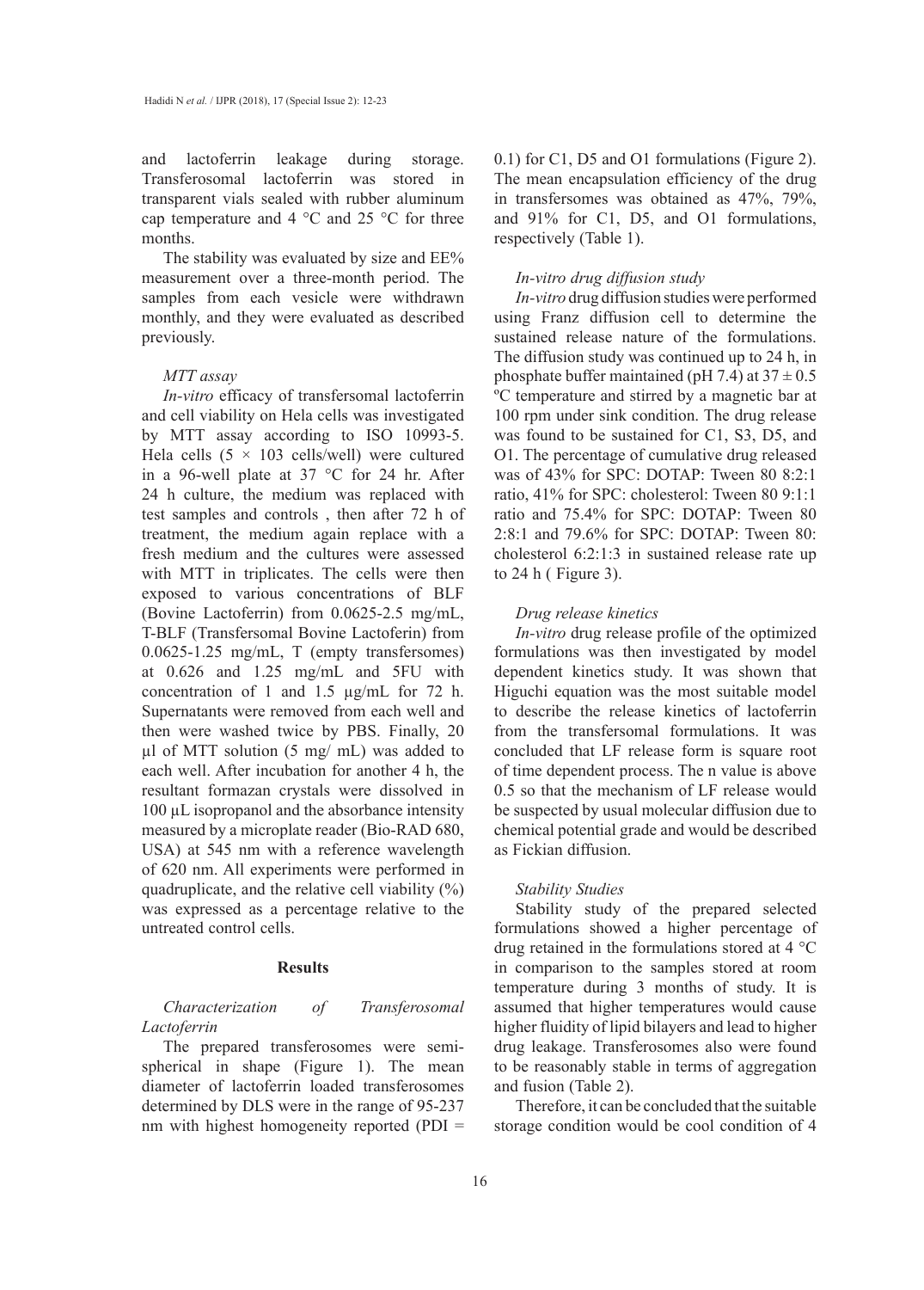and lactoferrin leakage during storage. Transferosomal lactoferrin was stored in transparent vials sealed with rubber aluminum cap temperature and 4  $\,^{\circ}$ C and 25  $\,^{\circ}$ C for three months.

The stability was evaluated by size and EE% measurement over a three-month period. The samples from each vesicle were withdrawn monthly, and they were evaluated as described previously.

#### *MTT assay*

*In-vitro* efficacy of transfersomal lactoferrin and cell viability on Hela cells was investigated by MTT assay according to ISO 10993-5. Hela cells  $(5 \times 103 \text{ cells/well})$  were cultured in a 96-well plate at 37 °C for 24 hr. After 24 h culture, the medium was replaced with test samples and controls , then after 72 h of treatment, the medium again replace with a fresh medium and the cultures were assessed with MTT in triplicates. The cells were then exposed to various concentrations of BLF (Bovine Lactoferrin) from 0.0625-2.5 mg/mL, T-BLF (Transfersomal Bovine Lactoferin) from 0.0625-1.25 mg/mL, T (empty transfersomes) at 0.626 and 1.25 mg/mL and 5FU with concentration of 1 and 1.5 µg/mL for 72 h. Supernatants were removed from each well and then were washed twice by PBS. Finally, 20 µl of MTT solution (5 mg/ mL) was added to each well. After incubation for another 4 h, the resultant formazan crystals were dissolved in 100 µL isopropanol and the absorbance intensity measured by a microplate reader (Bio-RAD 680, USA) at 545 nm with a reference wavelength of 620 nm. All experiments were performed in quadruplicate, and the relative cell viability  $(\%)$ was expressed as a percentage relative to the untreated control cells.

# **Results**

*Characterization of Transferosomal Lactoferrin*

The prepared transferosomes were semispherical in shape (Figure 1). The mean diameter of lactoferrin loaded transferosomes determined by DLS were in the range of 95-237 nm with highest homogeneity reported (PDI  $=$ 

0.1) for C1, D5 and O1 formulations (Figure 2). The mean encapsulation efficiency of the drug in transfersomes was obtained as 47%, 79%, and 91% for C1, D5, and O1 formulations, respectively (Table 1).

#### *In-vitro drug diffusion study*

*In-vitro* drug diffusion studies were performed using Franz diffusion cell to determine the sustained release nature of the formulations. The diffusion study was continued up to 24 h, in phosphate buffer maintained (pH 7.4) at  $37 \pm 0.5$ ºC temperature and stirred by a magnetic bar at 100 rpm under sink condition. The drug release was found to be sustained for C1, S3, D5, and O1. The percentage of cumulative drug released was of 43% for SPC: DOTAP: Tween 80 8:2:1 ratio, 41% for SPC: cholesterol: Tween 80 9:1:1 ratio and 75.4% for SPC: DOTAP: Tween 80 2:8:1 and 79.6% for SPC: DOTAP: Tween 80: cholesterol 6:2:1:3 in sustained release rate up to 24 h ( Figure 3).

#### *Drug release kinetics*

*In-vitro* drug release profile of the optimized formulations was then investigated by model dependent kinetics study. It was shown that Higuchi equation was the most suitable model to describe the release kinetics of lactoferrin from the transfersomal formulations. It was concluded that LF release form is square root of time dependent process. The n value is above 0.5 so that the mechanism of LF release would be suspected by usual molecular diffusion due to chemical potential grade and would be described as Fickian diffusion.

#### *Stability Studies*

Stability study of the prepared selected formulations showed a higher percentage of drug retained in the formulations stored at 4 °C in comparison to the samples stored at room temperature during 3 months of study. It is assumed that higher temperatures would cause higher fluidity of lipid bilayers and lead to higher drug leakage. Transferosomes also were found to be reasonably stable in terms of aggregation and fusion (Table 2).

Therefore, it can be concluded that the suitable storage condition would be cool condition of 4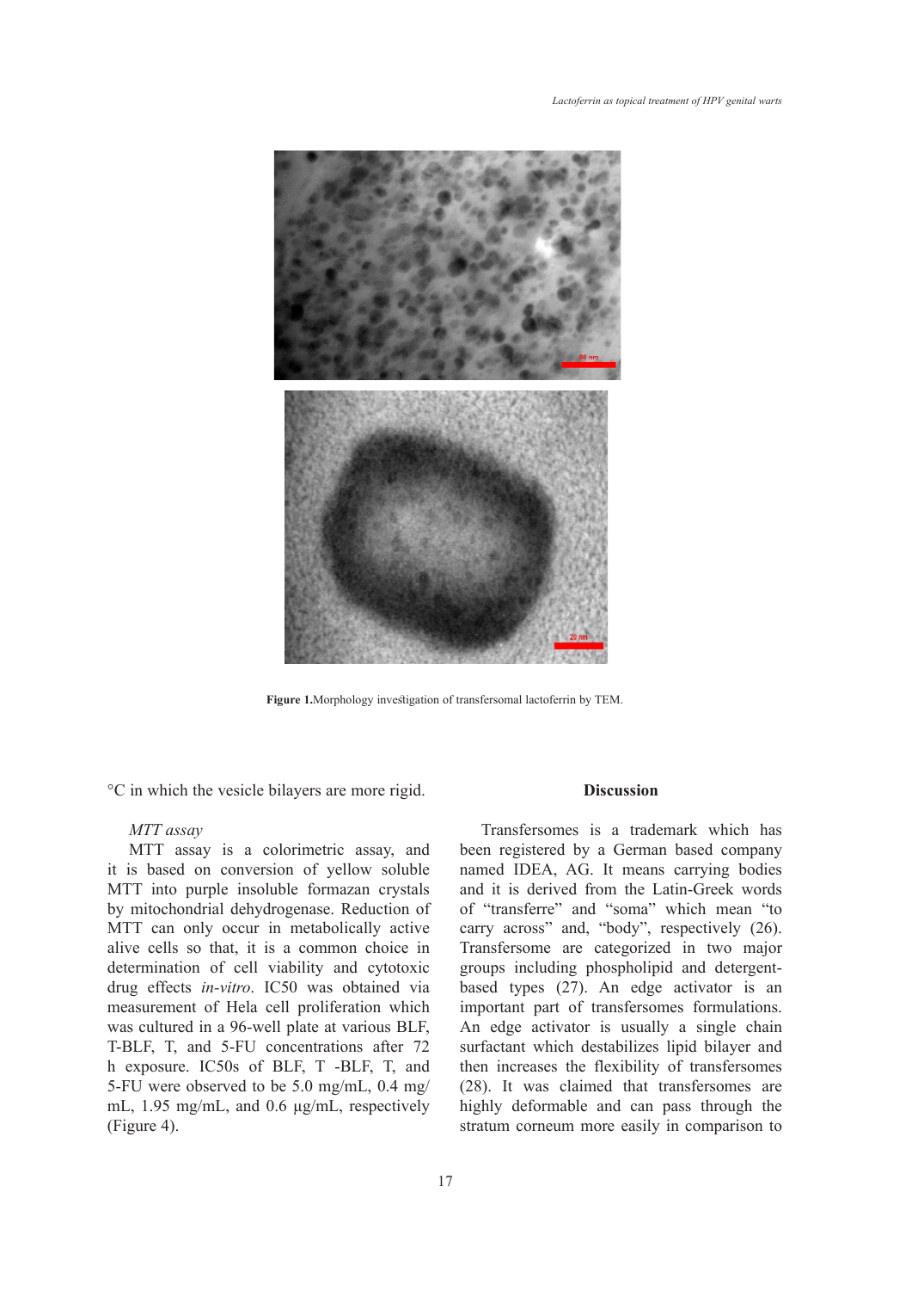

Figure 1. Morphology investigation of transfersomal lactoferrin by TEM.

°C in which the vesicle bilayers are more rigid.

## *MTT assay*

MTT assay is a colorimetric assay, and it is based on conversion of yellow soluble MTT into purple insoluble formazan crystals by mitochondrial dehydrogenase. Reduction of MTT can only occur in metabolically active alive cells so that, it is a common choice in determination of cell viability and cytotoxic drug effects *in-vitro*. IC50 was obtained via measurement of Hela cell proliferation which was cultured in a 96-well plate at various BLF, T-BLF, T, and 5-FU concentrations after 72 h exposure. IC50s of BLF, T -BLF, T, and 5-FU were observed to be 5.0 mg/mL, 0.4 mg/ mL, 1.95 mg/mL, and 0.6 µg/mL, respectively (Figure 4).

# **Discussion**

Transfersomes is a trademark which has been registered by a German based company named IDEA, AG. It means carrying bodies and it is derived from the Latin-Greek words of "transferre" and "soma" which mean "to carry across" and, "body", respectively (26). Transfersome are categorized in two major groups including phospholipid and detergentbased types (27). An edge activator is an important part of transfersomes formulations. An edge activator is usually a single chain surfactant which destabilizes lipid bilayer and then increases the flexibility of transfersomes (28). It was claimed that transfersomes are highly deformable and can pass through the stratum corneum more easily in comparison to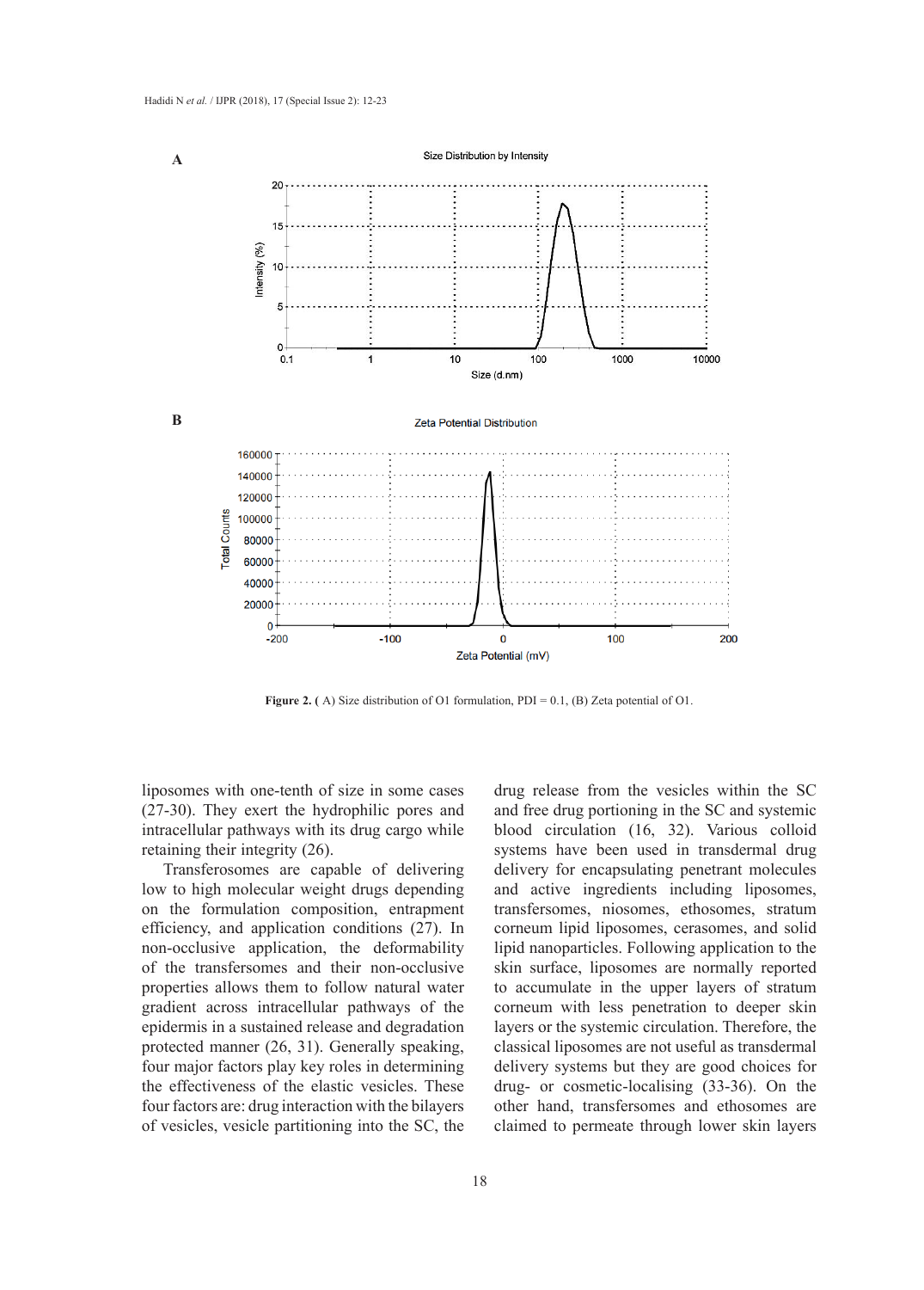

**Figure 2.** (A) Size distribution of O1 formulation, PDI =  $0.1$ , (B) Zeta potential of O1.

liposomes with one-tenth of size in some cases (27-30). They exert the hydrophilic pores and intracellular pathways with its drug cargo while retaining their integrity (26).

Transferosomes are capable of delivering low to high molecular weight drugs depending on the formulation composition, entrapment efficiency, and application conditions (27). In non-occlusive application, the deformability of the transfersomes and their non-occlusive properties allows them to follow natural water gradient across intracellular pathways of the epidermis in a sustained release and degradation protected manner (26, 31). Generally speaking, four major factors play key roles in determining the effectiveness of the elastic vesicles. These four factors are: drug interaction with the bilayers of vesicles, vesicle partitioning into the SC, the

drug release from the vesicles within the SC and free drug portioning in the SC and systemic blood circulation (16, 32). Various colloid systems have been used in transdermal drug delivery for encapsulating penetrant molecules and active ingredients including liposomes, transfersomes, niosomes, ethosomes, stratum corneum lipid liposomes, cerasomes, and solid lipid nanoparticles. Following application to the skin surface, liposomes are normally reported to accumulate in the upper layers of stratum corneum with less penetration to deeper skin layers or the systemic circulation. Therefore, the classical liposomes are not useful as transdermal delivery systems but they are good choices for drug- or cosmetic-localising (33-36). On the other hand, transfersomes and ethosomes are claimed to permeate through lower skin layers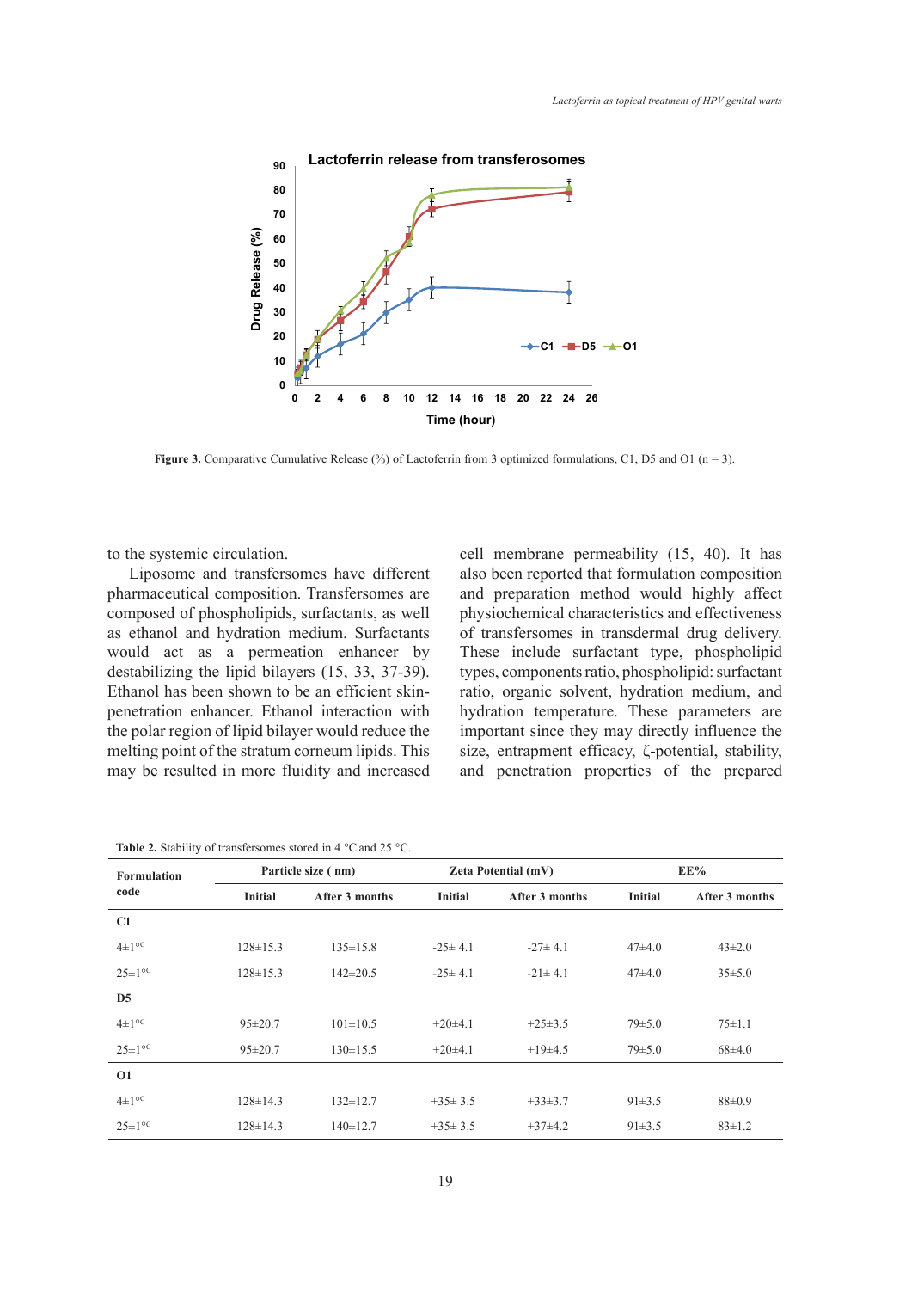

**Figure 3.** Comparative Cumulative Release (%) of Lactoferrin from 3 optimized formulations, C1, D5 and O1 (n = 3).

to the systemic circulation.

Liposome and transfersomes have different pharmaceutical composition. Transfersomes are composed of phospholipids, surfactants, as well as ethanol and hydration medium. Surfactants would act as a permeation enhancer by destabilizing the lipid bilayers (15, 33, 37-39). Ethanol has been shown to be an efficient skinpenetration enhancer. Ethanol interaction with the polar region of lipid bilayer would reduce the melting point of the stratum corneum lipids. This may be resulted in more fluidity and increased cell membrane permeability (15, 40). It has also been reported that formulation composition and preparation method would highly affect physiochemical characteristics and effectiveness of transfersomes in transdermal drug delivery. These include surfactant type, phospholipid types, components ratio, phospholipid: surfactant ratio, organic solvent, hydration medium, and hydration temperature. These parameters are important since they may directly influence the size, entrapment efficacy, ζ-potential, stability, and penetration properties of the prepared

| <b>Table 2.</b> Stability of transfersomes stored in 4 $\degree$ C and 25 $\degree$ C. |  |
|----------------------------------------------------------------------------------------|--|
|----------------------------------------------------------------------------------------|--|

| <b>Formulation</b>    |                | Particle size (nm) |                | <b>Zeta Potential (mV)</b> | EE%            |                |  |
|-----------------------|----------------|--------------------|----------------|----------------------------|----------------|----------------|--|
| code                  | <b>Initial</b> | After 3 months     | <b>Initial</b> | After 3 months             | <b>Initial</b> | After 3 months |  |
| C1                    |                |                    |                |                            |                |                |  |
| $4\pm1$ <sup>oc</sup> | $128 \pm 15.3$ | $135 \pm 15.8$     | $-25\pm 4.1$   | $-27\pm 4.1$               | $47\pm4.0$     | $43\pm2.0$     |  |
| $25 \pm 1^{\circ}$ C  | $128 \pm 15.3$ | $142 \pm 20.5$     | $-25\pm 4.1$   | $-21 \pm 4.1$              | $47\pm4.0$     | $35 \pm 5.0$   |  |
| D <sub>5</sub>        |                |                    |                |                            |                |                |  |
| $4\pm1$ <sup>oc</sup> | $95 \pm 20.7$  | $101 \pm 10.5$     | $+20\pm4.1$    | $+25\pm3.5$                | $79 \pm 5.0$   | $75 \pm 1.1$   |  |
| $25 \pm 1^{\circ}$ C  | $95 \pm 20.7$  | $130 \pm 15.5$     | $+20\pm4.1$    | $+19\pm4.5$                | $79 \pm 5.0$   | $68\pm4.0$     |  |
| <b>O1</b>             |                |                    |                |                            |                |                |  |
| $4\pm1$ <sup>oc</sup> | $128 \pm 14.3$ | $132 \pm 12.7$     | $+35\pm3.5$    | $+33\pm3.7$                | $91 \pm 3.5$   | $88 \pm 0.9$   |  |
| $25 \pm 1^{\circ}$    | $128 \pm 14.3$ | $140 \pm 12.7$     | $+35\pm3.5$    | $+37\pm4.2$                | $91 \pm 3.5$   | $83 \pm 1.2$   |  |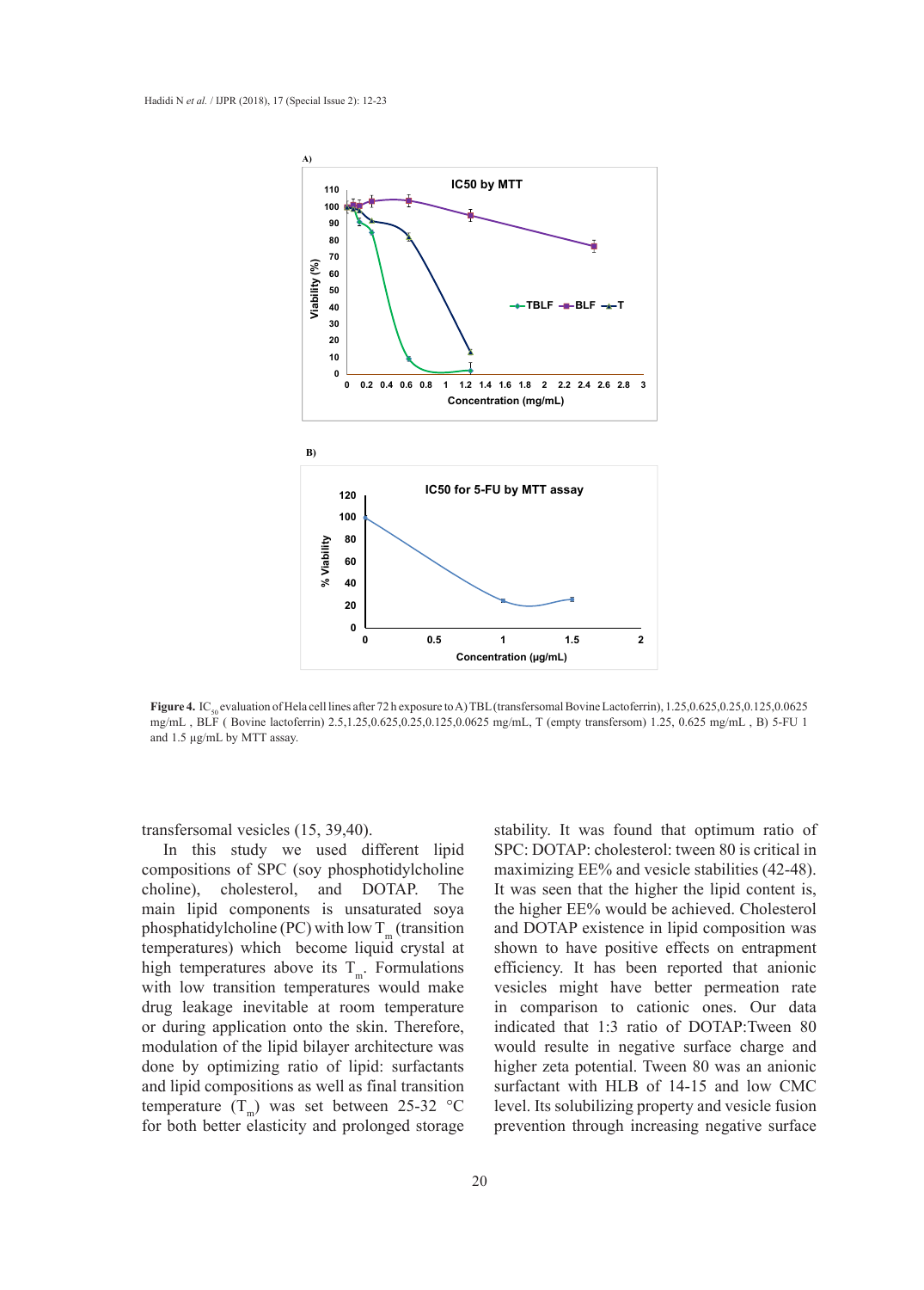

Figure 4. IC<sub>50</sub> evaluation of Hela cell lines after 72 h exposure to A) TBL (transfersomal Bovine Lactoferrin), 1.25,0.625,0.25,0.125,0.0625 mg/mL, BLF (Bovine lactoferrin) 2.5,1.25,0.625,0.25,0.125,0.0625 mg/mL, T (empty transfersom) 1.25, 0.625 mg/mL, B) 5-FU 1 and 1.5 µg/mL by MTT assay.  $\alpha$  con mics and 72 if exposure to  $A$ ) 1. DE (transfersomal boy  $\alpha$ 1.25,0.625,0.25,0.125,0.0625 mg/mL , BLF ( Bovine lactoferrin) 2.5,1.25,0.625,0.25,0.125,0.0625 mg/mL, T

transfersomal vesicles (15, 39,40).

In this study we used different lipid compositions of SPC (soy phosphotidylcholine choline), cholesterol, and DOTAP. The main lipid components is unsaturated soya phosphatidylcholine (PC) with low  $T_m$  (transition temperatures) which become liquid crystal at high temperatures above its  $T_m$ . Formulations with low transition temperatures would make drug leakage inevitable at room temperature or during application onto the skin. Therefore, modulation of the lipid bilayer architecture was done by optimizing ratio of lipid: surfactants and lipid compositions as well as final transition temperature  $(T_m)$  was set between 25-32 °C for both better elasticity and prolonged storage

stability. It was found that optimum ratio of SPC: DOTAP: cholesterol: tween 80 is critical in maximizing EE% and vesicle stabilities (42-48). It was seen that the higher the lipid content is, the higher EE% would be achieved. Cholesterol and DOTAP existence in lipid composition was shown to have positive effects on entrapment efficiency. It has been reported that anionic vesicles might have better permeation rate in comparison to cationic ones. Our data indicated that 1:3 ratio of DOTAP:Tween 80 would resulte in negative surface charge and higher zeta potential. Tween 80 was an anionic surfactant with HLB of 14-15 and low CMC level. Its solubilizing property and vesicle fusion prevention through increasing negative surface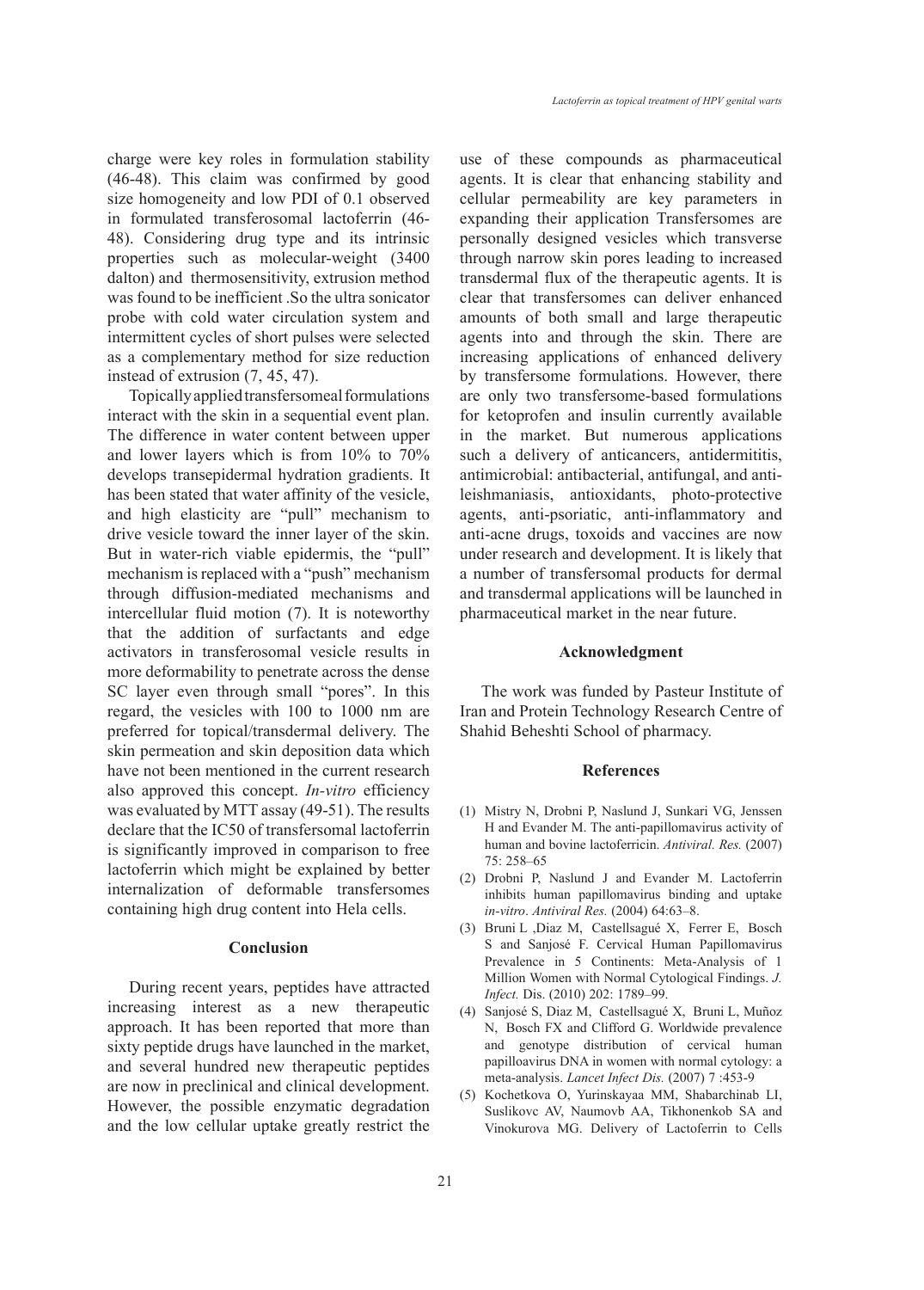charge were key roles in formulation stability (46-48). This claim was confirmed by good size homogeneity and low PDI of 0.1 observed in formulated transferosomal lactoferrin (46- 48). Considering drug type and its intrinsic properties such as molecular-weight (3400 dalton) and thermosensitivity, extrusion method was found to be inefficient .So the ultra sonicator probe with cold water circulation system and intermittent cycles of short pulses were selected as a complementary method for size reduction instead of extrusion (7, 45, 47).

Topically applied transfersomeal formulations interact with the skin in a sequential event plan. The difference in water content between upper and lower layers which is from 10% to 70% develops transepidermal hydration gradients. It has been stated that water affinity of the vesicle, and high elasticity are "pull" mechanism to drive vesicle toward the inner layer of the skin. But in water-rich viable epidermis, the "pull" mechanism is replaced with a "push" mechanism through diffusion-mediated mechanisms and intercellular fluid motion (7). It is noteworthy that the addition of surfactants and edge activators in transferosomal vesicle results in more deformability to penetrate across the dense SC layer even through small "pores". In this regard, the vesicles with 100 to 1000 nm are preferred for topical/transdermal delivery. The skin permeation and skin deposition data which have not been mentioned in the current research also approved this concept. *In-vitro* efficiency was evaluated by MTT assay (49-51). The results declare that the IC50 of transfersomal lactoferrin is significantly improved in comparison to free lactoferrin which might be explained by better internalization of deformable transfersomes containing high drug content into Hela cells.

## **Conclusion**

During recent years, peptides have attracted increasing interest as a new therapeutic approach. It has been reported that more than sixty peptide drugs have launched in the market, and several hundred new therapeutic peptides are now in preclinical and clinical development. However, the possible enzymatic degradation and the low cellular uptake greatly restrict the use of these compounds as pharmaceutical agents. It is clear that enhancing stability and cellular permeability are key parameters in expanding their application Transfersomes are personally designed vesicles which transverse through narrow skin pores leading to increased transdermal flux of the therapeutic agents. It is clear that transfersomes can deliver enhanced amounts of both small and large therapeutic agents into and through the skin. There are increasing applications of enhanced delivery by transfersome formulations. However, there are only two transfersome-based formulations for ketoprofen and insulin currently available in the market. But numerous applications such a delivery of anticancers, antidermititis, antimicrobial: antibacterial, antifungal, and antileishmaniasis, antioxidants, photo-protective agents, anti-psoriatic, anti-inflammatory and anti-acne drugs, toxoids and vaccines are now under research and development. It is likely that a number of transfersomal products for dermal and transdermal applications will be launched in pharmaceutical market in the near future.

#### **Acknowledgment**

The work was funded by Pasteur Institute of Iran and Protein Technology Research Centre of Shahid Beheshti School of pharmacy.

## **References**

- (1) Mistry N, Drobni P, Naslund J, Sunkari VG, Jenssen H and Evander M. The anti-papillomavirus activity of human and bovine lactoferricin. *Antiviral. Res.* (2007) 75: 258–65
- (2) Drobni P, Naslund J and Evander M. Lactoferrin inhibits human papillomavirus binding and uptake *in-vitro*. *Antiviral Res.* (2004) 64:63–8.
- Bruni L ,Diaz M, Castellsagué X, Ferrer E, Bosch (3) S and Sanjosé F. Cervical Human Papillomavirus Prevalence in 5 Continents: Meta-Analysis of 1 Million Women with Normal Cytological Findings. *J. Infect.* Dis. (2010) 202: 1789–99.
- Sanjosé S, Diaz M, Castellsagué X, Bruni L, Muñoz (4) N, Bosch FX and Clifford G. Worldwide prevalence and genotype distribution of cervical human papilloavirus DNA in women with normal cytology: a meta-analysis. *Lancet Infect Dis.* (2007) 7 :453-9
- (5) Kochetkova O, Yurinskayaa MM, Shabarchinab LI, Suslikovc AV, Naumovb AA, Tikhonenkob SA and Vinokurova MG. Delivery of Lactoferrin to Cells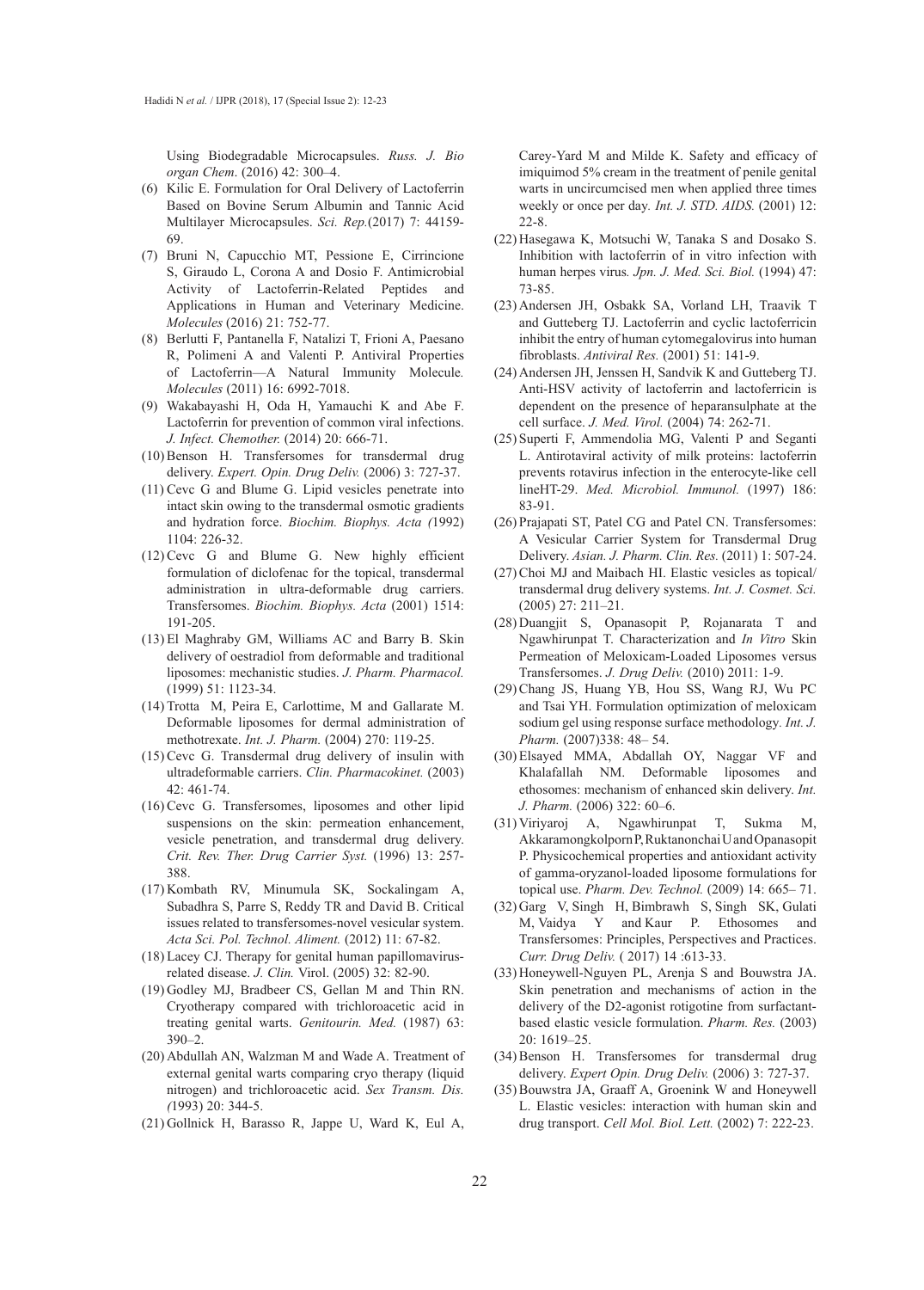Using Biodegradable Microcapsules. *Russ. J. Bio organ Chem*. (2016) 42: 300–4.

- (6) Kilic E. Formulation for Oral Delivery of Lactoferrin Based on Bovine Serum Albumin and Tannic Acid Multilayer Microcapsules. *Sci. Rep.*(2017) 7: 44159- 69.
- Bruni N, Capucchio MT, Pessione E, Cirrincione (7) S, Giraudo L, Corona A and Dosio F. Antimicrobial Activity of Lactoferrin-Related Peptides and Applications in Human and Veterinary Medicine. *Molecules* (2016) 21: 752-77.
- (8) Berlutti F, Pantanella F, Natalizi T, Frioni A, Paesano R, Polimeni A and Valenti P. Antiviral Properties of Lactoferrin—A Natural Immunity Molecule*. Molecules* (2011) 16: 6992-7018.
- Wakabayashi H, Oda H, Yamauchi K and Abe F. (9) Lactoferrin for prevention of common viral infections. *J. Infect. Chemother.* (2014) 20: 666-71.
- (10) Benson H. Transfersomes for transdermal drug delivery. *Expert. Opin. Drug Deliv.* (2006) 3: 727-37.
- $(11)$  Cevc G and Blume G. Lipid vesicles penetrate into intact skin owing to the transdermal osmotic gradients and hydration force. *Biochim. Biophys. Acta (*1992) 1104: 226-32.
- $(12)$  Cevc G and Blume G. New highly efficient formulation of diclofenac for the topical, transdermal administration in ultra-deformable drug carriers. Transfersomes. *Biochim. Biophys. Acta* (2001) 1514: 191-205.
- El Maghraby GM, Williams AC and Barry B. Skin (13) delivery of oestradiol from deformable and traditional liposomes: mechanistic studies. *J. Pharm. Pharmacol.* (1999) 51: 1123-34.
- $(14)$  Trotta M, Peira E, Carlottime, M and Gallarate M. Deformable liposomes for dermal administration of methotrexate. *Int. J. Pharm.* (2004) 270: 119-25.
- $(15)$  Cevc G. Transdermal drug delivery of insulin with ultradeformable carriers. *Clin. Pharmacokinet.* (2003) 42: 461-74.
- $(16)$  Cevc G. Transfersomes, liposomes and other lipid suspensions on the skin: permeation enhancement, vesicle penetration, and transdermal drug delivery. *Crit. Rev. Ther. Drug Carrier Syst.* (1996) 13: 257- 388.
- (17) Kombath RV, Minumula SK, Sockalingam A, Subadhra S, Parre S, Reddy TR and David B. Critical issues related to transfersomes-novel vesicular system. *Acta Sci. Pol. Technol. Aliment.* (2012) 11: 67-82.
- Lacey CJ. Therapy for genital human papillomavirus-(18) related disease. *J. Clin.* Virol. (2005) 32: 82-90.
- (19) Godley MJ, Bradbeer CS, Gellan M and Thin RN. Cryotherapy compared with trichloroacetic acid in treating genital warts. *Genitourin. Med.* (1987) 63: 390–2.
- (20) Abdullah AN, Walzman M and Wade A. Treatment of external genital warts comparing cryo therapy (liquid nitrogen) and trichloroacetic acid. *Sex Transm. Dis. (*1993) 20: 344-5.
- (21) Gollnick H, Barasso R, Jappe U, Ward K, Eul A,

Carey-Yard M and Milde K. Safety and efficacy of imiquimod 5% cream in the treatment of penile genital warts in uncircumcised men when applied three times weekly or once per day*. Int. J. STD. AIDS.* (2001) 12: 22-8.

- (22) Hasegawa K, Motsuchi W, Tanaka S and Dosako S. Inhibition with lactoferrin of in vitro infection with human herpes virus*. Jpn. J. Med. Sci. Biol.* (1994) 47: 73-85.
- (23) Andersen JH, Osbakk SA, Vorland LH, Traavik T and Gutteberg TJ. Lactoferrin and cyclic lactoferricin inhibit the entry of human cytomegalovirus into human fibroblasts. *Antiviral Res.* (2001) 51: 141-9.
- (24) Andersen JH, Jenssen H, Sandvik K and Gutteberg TJ. Anti-HSV activity of lactoferrin and lactoferricin is dependent on the presence of heparansulphate at the cell surface. *J. Med. Virol.* (2004) 74: 262-71.
- (25) Superti F, Ammendolia MG, Valenti P and Seganti L. Antirotaviral activity of milk proteins: lactoferrin prevents rotavirus infection in the enterocyte-like cell lineHT-29. *Med. Microbiol. Immunol.* (1997) 186: 83-91.
- (26) Prajapati ST, Patel CG and Patel CN. Transfersomes: A Vesicular Carrier System for Transdermal Drug Delivery. *Asian. J. Pharm. Clin. Res.* (2011) 1: 507-24.
- (27) Choi MJ and Maibach HI. Elastic vesicles as topical/ transdermal drug delivery systems. *Int. J. Cosmet. Sci.* (2005) 27: 211–21.
- (28) Duangjit S, Opanasopit P, Rojanarata T and Ngawhirunpat T. Characterization and *In Vitro* Skin Permeation of Meloxicam-Loaded Liposomes versus Transfersomes. *J. Drug Deliv.* (2010) 2011: 1-9.
- (29) Chang JS, Huang YB, Hou SS, Wang RJ, Wu PC and Tsai YH. Formulation optimization of meloxicam sodium gel using response surface methodology*. Int. J. Pharm.* (2007)338: 48– 54.
- Elsayed MMA, Abdallah OY, Naggar VF and (30) Khalafallah NM. Deformable liposomes and ethosomes: mechanism of enhanced skin delivery. *Int. J. Pharm.* (2006) 322: 60–6.
- (31) Viriyaroj A, Ngawhirunpat T, Sukma M, Akkaramongkolporn P, Ruktanonchai U and Opanasopit P. Physicochemical properties and antioxidant activity of gamma-oryzanol-loaded liposome formulations for topical use. *Pharm. Dev. Technol.* (2009) 14: 665– 71.
- (32) Garg V, Singh H, Bimbrawh S, Singh SK, Gulati M, Vaidya Y and Kaur P. Ethosomes and Transfersomes: Principles, Perspectives and Practices. *Curr. Drug Deliv.* ( 2017) 14 :613-33.
- (33) Honeywell-Nguyen PL, Arenja S and Bouwstra JA. Skin penetration and mechanisms of action in the delivery of the D2-agonist rotigotine from surfactantbased elastic vesicle formulation. *Pharm. Res.* (2003) 20: 1619–25.
- (34) Benson H. Transfersomes for transdermal drug delivery. *Expert Opin. Drug Deliv.* (2006) 3: 727-37.
- (35) Bouwstra JA, Graaff A, Groenink W and Honeywell L. Elastic vesicles: interaction with human skin and drug transport. *Cell Mol. Biol. Lett.* (2002) 7: 222-23.